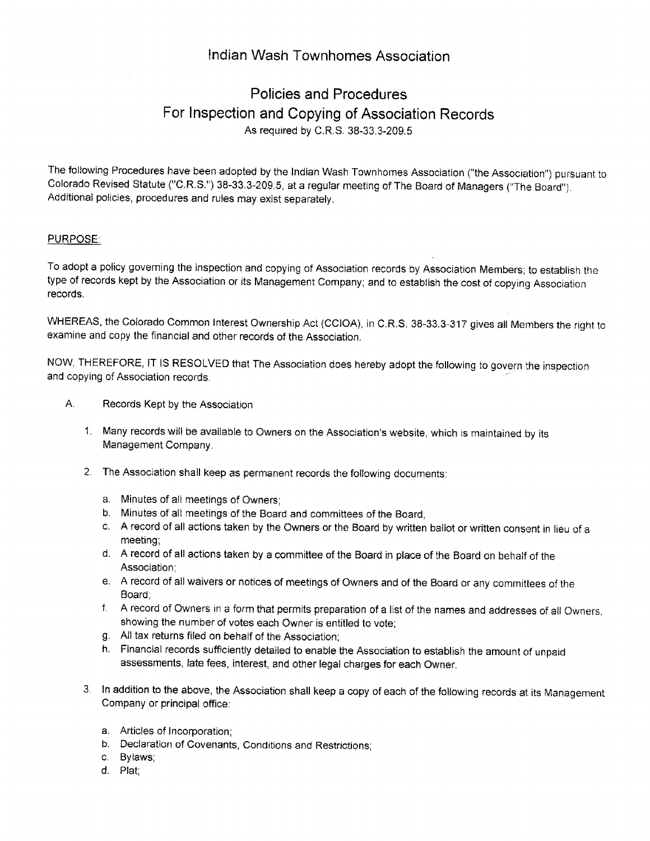## lndian Wash Townhomes Association

# Policies and Procedures For lnspection and Copying of Association Records As required by C.R.S. 38-33.3-209.5

The following Procedures have been adopted by the Indian Wash Townhomes Association ("the Association") pursuant to Colorado Revised Statute ("C.R.S.") 38-33.3-209.5, at a regular meeting of The Board of Managers ("The Board"). Additional policies, procedures and rules may exist separately.

### PURPOSE:

To adopt a policy governing the inspection and copying of Association records by Association Members; to establish the type of records kept by the Association or its Management Company; and to establish the cost of copying Association records.

WHEREAS, the Colorado Common lnterest Ownprship Act (CCIOA), in C.R.S. 38-33.3-317 gives alt Members the right to examine and copy the financial and other records of the Association.

NOW, THEREFORE, IT IS RESOLVED that The Association does hereby adopt the following to govern the inspection and copying of Association records.

- A, Records Kept by the Association
	- 1. Many records will be available to Owners on the Association's website, which is maintained by its Management Company.
	- 2 The Association shall keep as permanent records the following documents:
		- a. Minutes of all meetings of Owners;
		- b. Minutes of all meetings of the Board and committees of the Board;
		- c. A record of all actions taken by the Owners or the Board by written ballot or written consent in lieu of <sup>a</sup> meeting;
		- d. A record of all actions taken by a committee of the Board in place of the Board on behalf of the Association;
		- e. A record of all waivers or notices of meetings of Owners and of the Board or any committees of the Board;
		- f. A record of Owners in a form that permits preparation of a list of the names and addresses of all Owners, showing the number of votes each Owner is entitled to vote;
		- g. All tax returns filed on behalf of the Association;
		- h. Financial records sufficiently detailed to enable the Association to establish the amount of unpaid assessments, late fees, interest, and other legal charges for each Owner.
	- 3. ln addition to lhe above, the Association shall keep a copy of each of the following records at its Management Company or principal office:
		- a. Articles of lncorporation;
		- b. Declaration of Covenants, Conditions and Restrictions;
		- c, Bylaws;
		- d. Plat;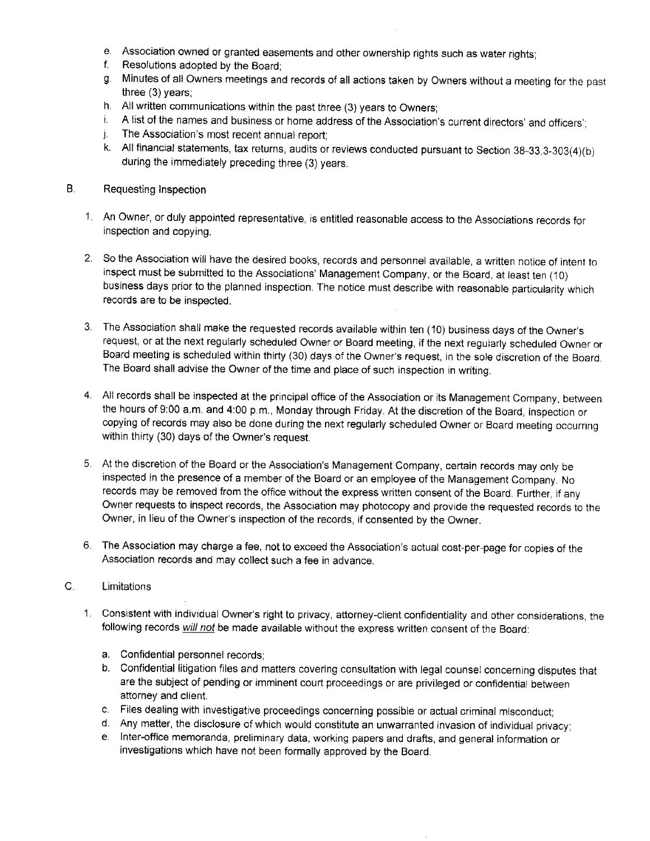- e. Association owned or granted easements and other ownership rights such as water rights; f. Resolutions adopted by the Board;
- 
- g. Minutes of all Owners meetings and records of all actions taken by Owners without a meeting for the past three  $(3)$  years;
- 
- h. All written communications within the past three (3) years to Owners;<br>i. A list of the names and business or home address of the Association's current directors' and officers';
- j. The Association's most recent annual report
- k.  $\,$  All financial statements, tax returns, audits or reviews conducted pursuant to Section 38-33.3-303(4)(b) during the immediately preceding three (3) years.
- Requesting lnspection B.
	- 1. An Owner, or duly appointed representative, is entitled reasonable access to the Associations records for inspection and copying.
	- 2. So the Association will have the desired books, records and personnel available, a written notice of intent to inspect must be submitted to the Associations' Management Company, or the Board, at least ten (10) business days prior to the planned inspection. The notice must describe with reasonable particularity which records are to be inspected.
	- $3.$  The Association shall make the requested records available within ten (10) business days of the Owner's request, or at the next regularly scheduled Owner or Board meeting, if the next regularly scheduled Owner or Board meeting is scheduled within thirty (30) days of the Owner's reguest, in the sote discretion of the Board. The Board shall advise the Owner of the time and place of such inspection in writing.
	- All records shall be inspected at the principal office of the Association or its Management Company, between the hours of 9:00 a.m. and 4:00 p.m., Monday through Friday. At the discretion of the Board, inspection or copying of records may also be done during the next regularly scheduled Owner or Board meeting occurring within thirty (30) days of the Owner's request.
	- At the discretion of the Board or the Association's Management Company, certain records may only be inspected in the presence of a member of the Board or an employee of the Management Company. No records may be removed from the office without the express written consent of the Board. Further, if any Owner requests to inspect records, the Association may photocopy and provide the requested records to the Owner, in lieu of the Owner's inspection of the records, if consented by the Owner.
	- 6. The Association may charge a fee, not to exceed the Association's actual cost-per-page for copies of the Association records and may collect such a fee in advance.

#### $\mathsf{C}$ . Limitations

- Consistent with individual Owner's right to privacy, attorney-client confidentiality and other considerations, the 1. following records will not be made available without the express written consent of the Board:
	- a. Confidential personnel records;
	- b. Confidential litigation files and matters covering consultation with legal counsel concerning disputes that are the subject of pending or imminent court proceedings or are privileged or confidential between attorney and client.
	- c. Files dealing with investigative proceedings concerning possible or actual criminal misconduct;<br>d. Any matter, the disclosure of which would constitute an unwarranted invasion of individual privacy;
	-
	- e, lnter-office memoranda, preliminary data, working papers and drafts, and general information or investigations which have not been formally approved by the Board.